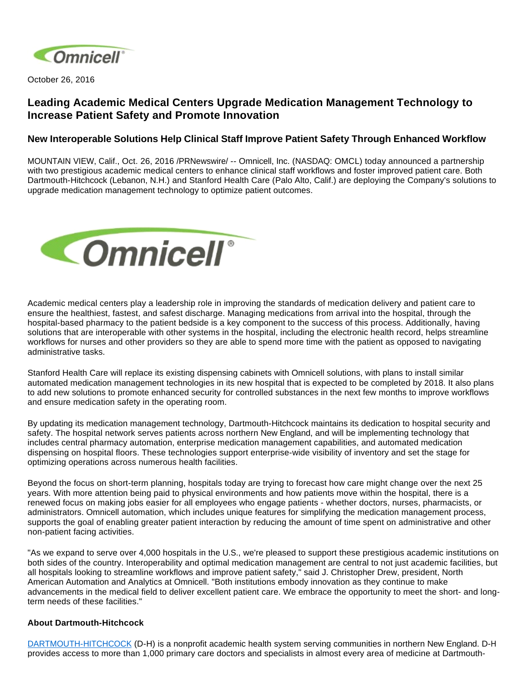

October 26, 2016

# **Leading Academic Medical Centers Upgrade Medication Management Technology to Increase Patient Safety and Promote Innovation**

## **New Interoperable Solutions Help Clinical Staff Improve Patient Safety Through Enhanced Workflow**

MOUNTAIN VIEW, Calif., Oct. 26, 2016 /PRNewswire/ -- Omnicell, Inc. (NASDAQ: OMCL) today announced a partnership with two prestigious academic medical centers to enhance clinical staff workflows and foster improved patient care. Both Dartmouth-Hitchcock (Lebanon, N.H.) and Stanford Health Care (Palo Alto, Calif.) are deploying the Company's solutions to upgrade medication management technology to optimize patient outcomes.



Academic medical centers play a leadership role in improving the standards of medication delivery and patient care to ensure the healthiest, fastest, and safest discharge. Managing medications from arrival into the hospital, through the hospital-based pharmacy to the patient bedside is a key component to the success of this process. Additionally, having solutions that are interoperable with other systems in the hospital, including the electronic health record, helps streamline workflows for nurses and other providers so they are able to spend more time with the patient as opposed to navigating administrative tasks.

Stanford Health Care will replace its existing dispensing cabinets with Omnicell solutions, with plans to install similar automated medication management technologies in its new hospital that is expected to be completed by 2018. It also plans to add new solutions to promote enhanced security for controlled substances in the next few months to improve workflows and ensure medication safety in the operating room.

By updating its medication management technology, Dartmouth-Hitchcock maintains its dedication to hospital security and safety. The hospital network serves patients across northern New England, and will be implementing technology that includes central pharmacy automation, enterprise medication management capabilities, and automated medication dispensing on hospital floors. These technologies support enterprise-wide visibility of inventory and set the stage for optimizing operations across numerous health facilities.

Beyond the focus on short-term planning, hospitals today are trying to forecast how care might change over the next 25 years. With more attention being paid to physical environments and how patients move within the hospital, there is a renewed focus on making jobs easier for all employees who engage patients - whether doctors, nurses, pharmacists, or administrators. Omnicell automation, which includes unique features for simplifying the medication management process, supports the goal of enabling greater patient interaction by reducing the amount of time spent on administrative and other non-patient facing activities.

"As we expand to serve over 4,000 hospitals in the U.S., we're pleased to support these prestigious academic institutions on both sides of the country. Interoperability and optimal medication management are central to not just academic facilities, but all hospitals looking to streamline workflows and improve patient safety," said J. Christopher Drew, president, North American Automation and Analytics at Omnicell. "Both institutions embody innovation as they continue to make advancements in the medical field to deliver excellent patient care. We embrace the opportunity to meet the short- and longterm needs of these facilities."

#### **About Dartmouth-Hitchcock**

[DARTMOUTH-HITCHCOCK](http://www.dartmouth-hitchcock.org/) (D-H) is a nonprofit academic health system serving communities in northern New England. D-H provides access to more than 1,000 primary care doctors and specialists in almost every area of medicine at Dartmouth-